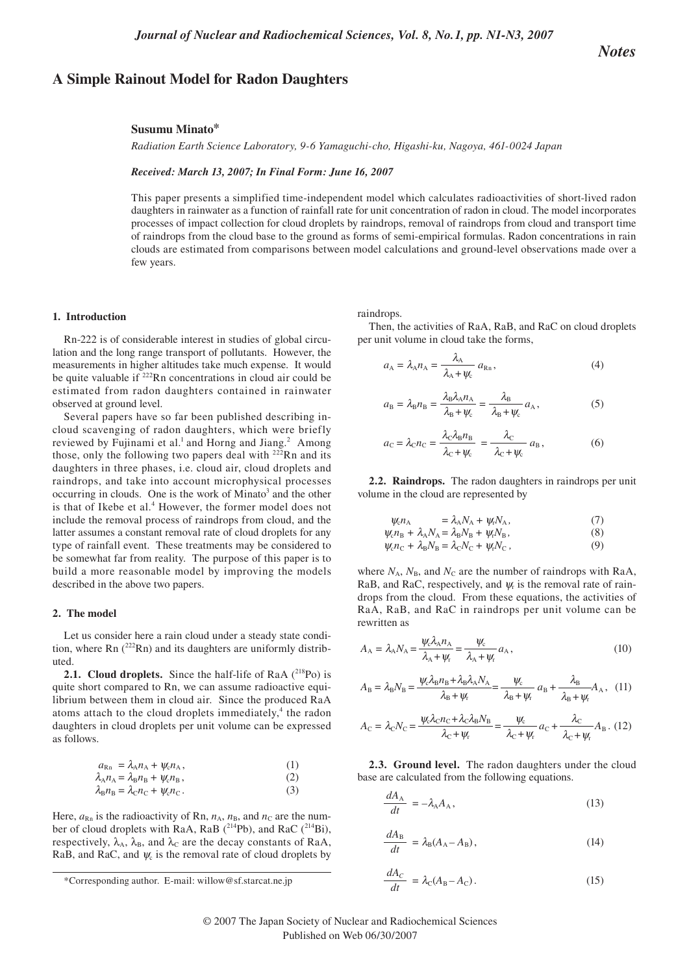## **A Simple Rainout Model for Radon Daughters**

# *Notes*

#### **Susumu Minato\***

*Radiation Earth Science Laboratory, 9-6 Yamaguchi-cho, Higashi-ku, Nagoya, 461-0024 Japan*

#### *Received: March 13, 2007; In Final Form: June 16, 2007*

This paper presents a simplified time-independent model which calculates radioactivities of short-lived radon daughters in rainwater as a function of rainfall rate for unit concentration of radon in cloud. The model incorporates processes of impact collection for cloud droplets by raindrops, removal of raindrops from cloud and transport time of raindrops from the cloud base to the ground as forms of semi-empirical formulas. Radon concentrations in rain clouds are estimated from comparisons between model calculations and ground-level observations made over a few years.

#### **1. Introduction**

Rn-222 is of considerable interest in studies of global circulation and the long range transport of pollutants. However, the measurements in higher altitudes take much expense. It would be quite valuable if <sup>222</sup>Rn concentrations in cloud air could be estimated from radon daughters contained in rainwater observed at ground level.

Several papers have so far been published describing incloud scavenging of radon daughters, which were briefly reviewed by Fujinami et al.<sup>1</sup> and Horng and Jiang.<sup>2</sup> Among those, only the following two papers deal with  $222$ Rn and its daughters in three phases, i.e. cloud air, cloud droplets and raindrops, and take into account microphysical processes  $occurring$  in clouds. One is the work of Minato<sup>3</sup> and the other is that of Ikebe et al.<sup>4</sup> However, the former model does not include the removal process of raindrops from cloud, and the latter assumes a constant removal rate of cloud droplets for any type of rainfall event. These treatments may be considered to be somewhat far from reality. The purpose of this paper is to build a more reasonable model by improving the models described in the above two papers.

#### **2. The model**

Let us consider here a rain cloud under a steady state condition, where  $\text{Rn}$  ( $^{222}\text{Rn}$ ) and its daughters are uniformly distributed.

**2.1. Cloud droplets.** Since the half-life of RaA (<sup>218</sup>Po) is quite short compared to Rn, we can assume radioactive equilibrium between them in cloud air. Since the produced RaA atoms attach to the cloud droplets immediately, $4$  the radon daughters in cloud droplets per unit volume can be expressed as follows.

$$
a_{\text{Rn}} = \lambda_{\text{A}} n_{\text{A}} + \psi_c n_{\text{A}},
$$
  
\n
$$
\lambda_{\text{A}} n_{\text{A}} = \lambda_{\text{B}} n_{\text{B}} + \psi_c n_{\text{B}},
$$
  
\n(1)

$$
\lambda_{\rm B} n_{\rm B} = \lambda_{\rm C} n_{\rm C} + \psi_{\rm c} n_{\rm C} \,. \tag{3}
$$

Here,  $a_{\text{Rn}}$  is the radioactivity of Rn,  $n_A$ ,  $n_B$ , and  $n_C$  are the number of cloud droplets with RaA, RaB  $(^{214}Pb)$ , and RaC  $(^{214}Bi)$ , respectively,  $\lambda_A$ ,  $\lambda_B$ , and  $\lambda_C$  are the decay constants of RaA, RaB, and RaC, and  $\psi_c$  is the removal rate of cloud droplets by

raindrops.

Then, the activities of RaA, RaB, and RaC on cloud droplets per unit volume in cloud take the forms,

$$
a_{A} = \lambda_{A} n_{A} = \frac{\lambda_{A}}{\lambda_{A} + \psi_{c}} a_{Rn}, \qquad (4)
$$

$$
a_{\rm B} = \lambda_{\rm B} n_{\rm B} = \frac{\lambda_{\rm B} \lambda_{\rm A} n_{\rm A}}{\lambda_{\rm B} + \psi_{\rm c}} = \frac{\lambda_{\rm B}}{\lambda_{\rm B} + \psi_{\rm c}} a_{\rm A},\tag{5}
$$

$$
a_{\rm C} = \lambda_{\rm C} n_{\rm C} = \frac{\lambda_{\rm C} \lambda_{\rm B} n_{\rm B}}{\lambda_{\rm C} + \psi_{\rm c}} = \frac{\lambda_{\rm C}}{\lambda_{\rm C} + \psi_{\rm c}} a_{\rm B},\tag{6}
$$

**2.2. Raindrops.** The radon daughters in raindrops per unit volume in the cloud are represented by

$$
\psi_{\rm c} n_{\rm A} = \lambda_{\rm A} N_{\rm A} + \psi_{\rm r} N_{\rm A}, \tag{7}
$$

$$
\psi_c n_{\rm B} + \lambda_{\rm A} N_{\rm A} = \lambda_{\rm B} N_{\rm B} + \psi_r N_{\rm B},\tag{8}
$$

 $\psi_c n_c + \lambda_B N_B = \lambda_c N_c + \psi_r N_c$ , (9)

where  $N_A$ ,  $N_B$ , and  $N_C$  are the number of raindrops with RaA, RaB, and RaC, respectively, and  $\psi$  is the removal rate of raindrops from the cloud. From these equations, the activities of RaA, RaB, and RaC in raindrops per unit volume can be rewritten as

$$
A_{\rm A} = \lambda_{\rm A} N_{\rm A} = \frac{\psi_{\rm c} \lambda_{\rm A} n_{\rm A}}{\lambda_{\rm A} + \psi_{\rm r}} = \frac{\psi_{\rm c}}{\lambda_{\rm A} + \psi_{\rm r}} a_{\rm A},\tag{10}
$$

$$
A_{\rm B} = \lambda_{\rm B} N_{\rm B} = \frac{\psi_{\rm c} \lambda_{\rm B} n_{\rm B} + \lambda_{\rm B} \lambda_{\rm A} N_{\rm A}}{\lambda_{\rm B} + \psi_{\rm r}} = \frac{\psi_{\rm c}}{\lambda_{\rm B} + \psi_{\rm r}} a_{\rm B} + \frac{\lambda_{\rm B}}{\lambda_{\rm B} + \psi_{\rm r}} A_{\rm A}, \quad (11)
$$

$$
A_{\rm C} = \lambda_{\rm C} N_{\rm C} = \frac{\psi_{\rm c} \lambda_{\rm C} n_{\rm C} + \lambda_{\rm C} \lambda_{\rm B} N_{\rm B}}{\lambda_{\rm C} + \psi_{\rm f}} = \frac{\psi_{\rm c}}{\lambda_{\rm C} + \psi_{\rm f}} a_{\rm C} + \frac{\lambda_{\rm C}}{\lambda_{\rm C} + \psi_{\rm f}} A_{\rm B} \tag{12}
$$

**2.3. Ground level.** The radon daughters under the cloud base are calculated from the following equations.

$$
\frac{dA_{\rm A}}{dt} = -\lambda_{\rm A} A_{\rm A},\tag{13}
$$

$$
\frac{dA_{\rm B}}{dt} = \lambda_{\rm B}(A_{\rm A} - A_{\rm B}),\tag{14}
$$

$$
\frac{dA_C}{dt} = \lambda_C (A_B - A_C). \tag{15}
$$

<sup>\*</sup>Corresponding author. E-mail: willow@sf.starcat.ne.jp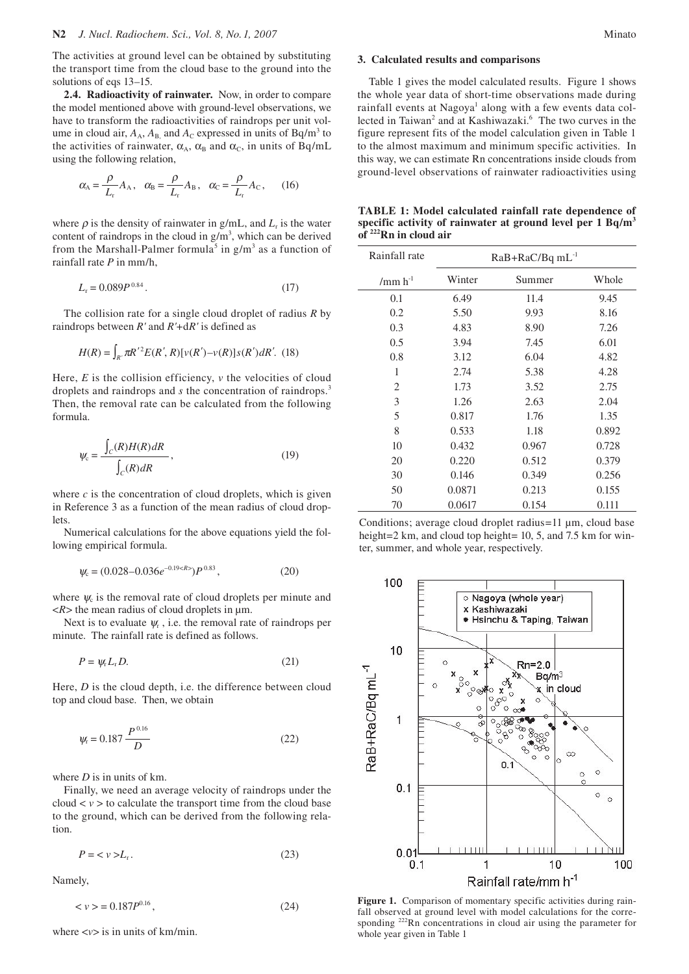The activities at ground level can be obtained by substituting the transport time from the cloud base to the ground into the solutions of eqs 13–15.

**2.4. Radioactivity of rainwater.** Now, in order to compare the model mentioned above with ground-level observations, we have to transform the radioactivities of raindrops per unit volume in cloud air,  $A_A$ ,  $A_B$ , and  $A_C$  expressed in units of Bq/m<sup>3</sup> to the activities of rainwater,  $\alpha_A$ ,  $\alpha_B$  and  $\alpha_C$ , in units of Bq/mL using the following relation,

$$
\alpha_{\rm A} = \frac{\rho}{L_{\rm r}} A_{\rm A}, \quad \alpha_{\rm B} = \frac{\rho}{L_{\rm r}} A_{\rm B}, \quad \alpha_{\rm C} = \frac{\rho}{L_{\rm r}} A_{\rm C}, \qquad (16)
$$

where  $\rho$  is the density of rainwater in g/mL, and  $L<sub>r</sub>$  is the water content of raindrops in the cloud in  $g/m<sup>3</sup>$ , which can be derived from the Marshall-Palmer formula<sup>5</sup> in  $g/m<sup>3</sup>$  as a function of rainfall rate *P* in mm/h,

$$
L_{\rm r} = 0.089P^{0.84} \,. \tag{17}
$$

The collision rate for a single cloud droplet of radius *R* by raindrops between *R'* and *R'*+d*R'* is defined as

$$
H(R) = \int_{R'} \pi R'^{2} E(R', R) [\nu(R') - \nu(R)] s(R') dR'. \tag{18}
$$

Here,  $E$  is the collision efficiency,  $\nu$  the velocities of cloud droplets and raindrops and *s* the concentration of raindrops.<sup>3</sup> Then, the removal rate can be calculated from the following formula.

$$
\Psi_{c} = \frac{\int_{C} (R)H(R) dR}{\int_{C} (R) dR}, \qquad (19)
$$

where  $c$  is the concentration of cloud droplets, which is given in Reference 3 as a function of the mean radius of cloud droplets.

Numerical calculations for the above equations yield the following empirical formula.

$$
\psi_c = (0.028 - 0.036e^{-0.19 < R} P^{0.83},\tag{20}
$$

where  $\psi_c$  is the removal rate of cloud droplets per minute and  $\langle R \rangle$  the mean radius of cloud droplets in  $\mu$ m.

Next is to evaluate  $\psi_r$ , i.e. the removal rate of raindrops per minute. The rainfall rate is defined as follows.

$$
P = \psi_{\rm r} L_{\rm r} D. \tag{21}
$$

Here, *D* is the cloud depth, i.e. the difference between cloud top and cloud base. Then, we obtain

$$
\psi_{\rm r} = 0.187 \frac{P^{0.16}}{D} \tag{22}
$$

where *D* is in units of km.

Finally, we need an average velocity of raindrops under the cloud  $\langle v \rangle$  to calculate the transport time from the cloud base to the ground, which can be derived from the following relation.

$$
P = \langle v \rangle L_r. \tag{23}
$$

Namely,

$$
\langle \nu \rangle = 0.187 P^{0.16},\tag{24}
$$

where  $\langle v \rangle$  is in units of km/min.

## **3. Calculated results and comparisons**

Table 1 gives the model calculated results. Figure 1 shows the whole year data of short-time observations made during rainfall events at Nagoya<sup>1</sup> along with a few events data collected in Taiwan<sup>2</sup> and at Kashiwazaki.<sup>6</sup> The two curves in the figure represent fits of the model calculation given in Table 1 to the almost maximum and minimum specific activities. In this way, we can estimate Rn concentrations inside clouds from ground-level observations of rainwater radioactivities using

| <b>TABLE 1: Model calculated rainfall rate dependence of</b>             |  |
|--------------------------------------------------------------------------|--|
| specific activity of rainwater at ground level per $1$ Bq/m <sup>3</sup> |  |
| of $222$ Rn in cloud air                                                 |  |

| Rainfall rate | RaB+RaC/Bq mL <sup>-1</sup> |        |       |
|---------------|-----------------------------|--------|-------|
| /mm $h^{-1}$  | Winter                      | Summer | Whole |
| 0.1           | 6.49                        | 11.4   | 9.45  |
| 0.2           | 5.50                        | 9.93   | 8.16  |
| 0.3           | 4.83                        | 8.90   | 7.26  |
| 0.5           | 3.94                        | 7.45   | 6.01  |
| 0.8           | 3.12                        | 6.04   | 4.82  |
| 1             | 2.74                        | 5.38   | 4.28  |
| 2             | 1.73                        | 3.52   | 2.75  |
| 3             | 1.26                        | 2.63   | 2.04  |
| 5             | 0.817                       | 1.76   | 1.35  |
| 8             | 0.533                       | 1.18   | 0.892 |
| 10            | 0.432                       | 0.967  | 0.728 |
| 20            | 0.220                       | 0.512  | 0.379 |
| 30            | 0.146                       | 0.349  | 0.256 |
| 50            | 0.0871                      | 0.213  | 0.155 |
| 70            | 0.0617                      | 0.154  | 0.111 |

Conditions; average cloud droplet radius=11 µm, cloud base height=2 km, and cloud top height= 10, 5, and 7.5 km for winter, summer, and whole year, respectively.



**Figure 1.** Comparison of momentary specific activities during rainfall observed at ground level with model calculations for the corresponding <sup>222</sup>Rn concentrations in cloud air using the parameter for whole year given in Table 1